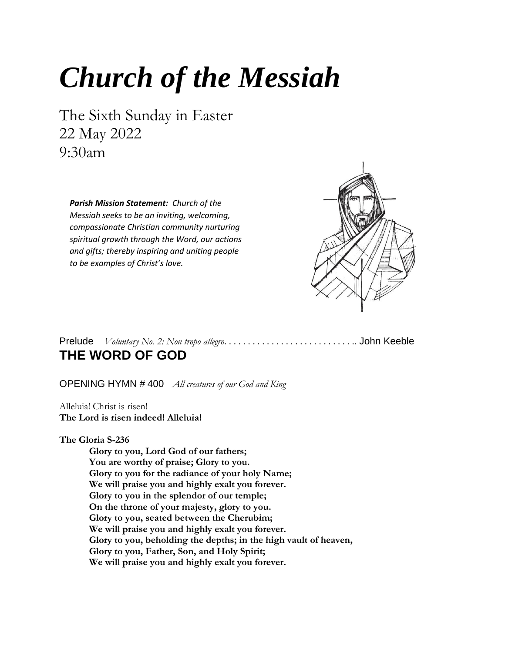# *Church of the Messiah*

The Sixth Sunday in Easter 22 May 2022 9:30am

*Parish Mission Statement: Church of the Messiah seeks to be an inviting, welcoming, compassionate Christian community nurturing spiritual growth through the Word, our actions and gifts; thereby inspiring and uniting people to be examples of Christ's love.*



Prelude *Voluntary No. 2: Non tropo allegro*. . . . . . . . . . . . . . . . . . . . . . . . . . . .. John Keeble **THE WORD OF GOD**

OPENING HYMN # 400*All creatures of our God and King*

Alleluia! Christ is risen! **The Lord is risen indeed! Alleluia!**

**The Gloria S-236**

**Glory to you, Lord God of our fathers; You are worthy of praise; Glory to you. Glory to you for the radiance of your holy Name; We will praise you and highly exalt you forever. Glory to you in the splendor of our temple; On the throne of your majesty, glory to you. Glory to you, seated between the Cherubim; We will praise you and highly exalt you forever. Glory to you, beholding the depths; in the high vault of heaven, Glory to you, Father, Son, and Holy Spirit; We will praise you and highly exalt you forever.**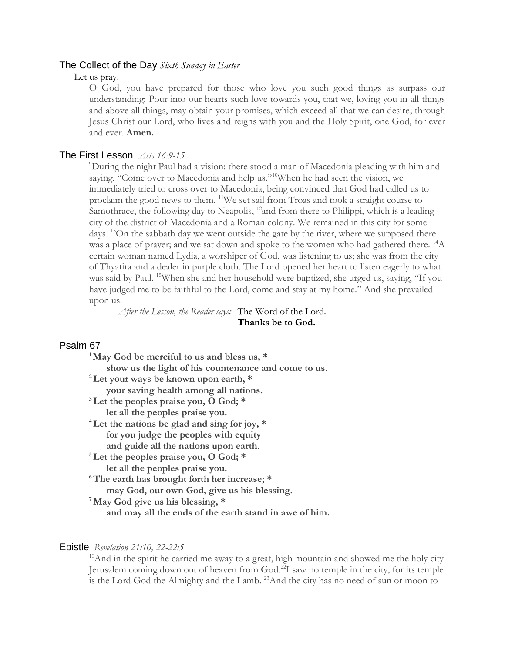#### The Collect of the Day *Sixth Sunday in Easter*

Let us pray.

O God, you have prepared for those who love you such good things as surpass our understanding: Pour into our hearts such love towards you, that we, loving you in all things and above all things, may obtain your promises, which exceed all that we can desire; through Jesus Christ our Lord, who lives and reigns with you and the Holy Spirit, one God, for ever and ever. **Amen.**

#### The First Lesson*Acts 16:9-15*

<sup>9</sup>During the night Paul had a vision: there stood a man of Macedonia pleading with him and saying, "Come over to Macedonia and help us."<sup>10</sup>When he had seen the vision, we immediately tried to cross over to Macedonia, being convinced that God had called us to proclaim the good news to them. <sup>11</sup>We set sail from Troas and took a straight course to Samothrace, the following day to Neapolis,  $^{12}$  and from there to Philippi, which is a leading city of the district of Macedonia and a Roman colony. We remained in this city for some days. <sup>13</sup>On the sabbath day we went outside the gate by the river, where we supposed there was a place of prayer; and we sat down and spoke to the women who had gathered there. <sup>14</sup>A certain woman named Lydia, a worshiper of God, was listening to us; she was from the city of Thyatira and a dealer in purple cloth. The Lord opened her heart to listen eagerly to what was said by Paul. <sup>15</sup>When she and her household were baptized, she urged us, saying, "If you have judged me to be faithful to the Lord, come and stay at my home." And she prevailed upon us.

*After the Lesson, the Reader says:* The Word of the Lord.  **Thanks be to God.**

### Psalm 67

### Epistle *Revelation 21:10, 22-22:5*

 $10$ And in the spirit he carried me away to a great, high mountain and showed me the holy city Jerusalem coming down out of heaven from God.<sup>22</sup>I saw no temple in the city, for its temple is the Lord God the Almighty and the Lamb. <sup>23</sup>And the city has no need of sun or moon to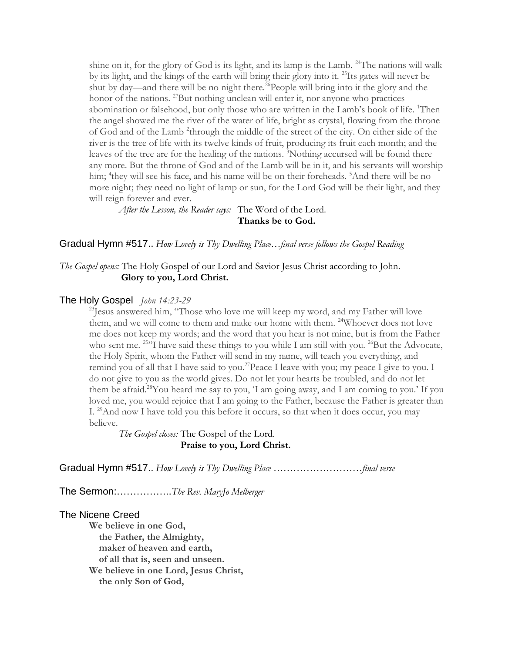shine on it, for the glory of God is its light, and its lamp is the Lamb.  $24$ The nations will walk by its light, and the kings of the earth will bring their glory into it. <sup>25</sup>Its gates will never be shut by day—and there will be no night there.<sup>26</sup>People will bring into it the glory and the honor of the nations. <sup>27</sup>But nothing unclean will enter it, nor anyone who practices abomination or falsehood, but only those who are written in the Lamb's book of life. <sup>1</sup>Then the angel showed me the river of the water of life, bright as crystal, flowing from the throne of God and of the Lamb <sup>2</sup>through the middle of the street of the city. On either side of the river is the tree of life with its twelve kinds of fruit, producing its fruit each month; and the leaves of the tree are for the healing of the nations. <sup>3</sup>Nothing accursed will be found there any more. But the throne of God and of the Lamb will be in it, and his servants will worship him; <sup>4</sup>they will see his face, and his name will be on their foreheads. <sup>5</sup>And there will be no more night; they need no light of lamp or sun, for the Lord God will be their light, and they will reign forever and ever.

*After the Lesson, the Reader says:* The Word of the Lord.  **Thanks be to God.**

Gradual Hymn #517.. *How Lovely is Thy Dwelling Place…final verse follows the Gospel Reading*

### *The Gospel opens:* The Holy Gospel of our Lord and Savior Jesus Christ according to John.  **Glory to you, Lord Christ.**

#### The Holy Gospel *John 14:23-29*

 $^{23}$ Jesus answered him, "Those who love me will keep my word, and my Father will love them, and we will come to them and make our home with them. <sup>24</sup>Whoever does not love me does not keep my words; and the word that you hear is not mine, but is from the Father who sent me.  $^{25}$ <sup>1</sup> have said these things to you while I am still with you.  $^{26}$ But the Advocate, the Holy Spirit, whom the Father will send in my name, will teach you everything, and remind you of all that I have said to you.<sup>27</sup> Peace I leave with you; my peace I give to you. I do not give to you as the world gives. Do not let your hearts be troubled, and do not let them be afraid.<sup>28</sup>You heard me say to you, 'I am going away, and I am coming to you.' If you loved me, you would rejoice that I am going to the Father, because the Father is greater than I.  $^{29}$ And now I have told you this before it occurs, so that when it does occur, you may believe.

*The Gospel closes:* The Gospel of the Lord.  **Praise to you, Lord Christ.**

Gradual Hymn #517.. *How Lovely is Thy Dwelling Place ………………………final verse* 

The Sermon:……………..*The Rev. MaryJo Melberger*

#### The Nicene Creed

**We believe in one God, the Father, the Almighty, maker of heaven and earth, of all that is, seen and unseen. We believe in one Lord, Jesus Christ, the only Son of God,**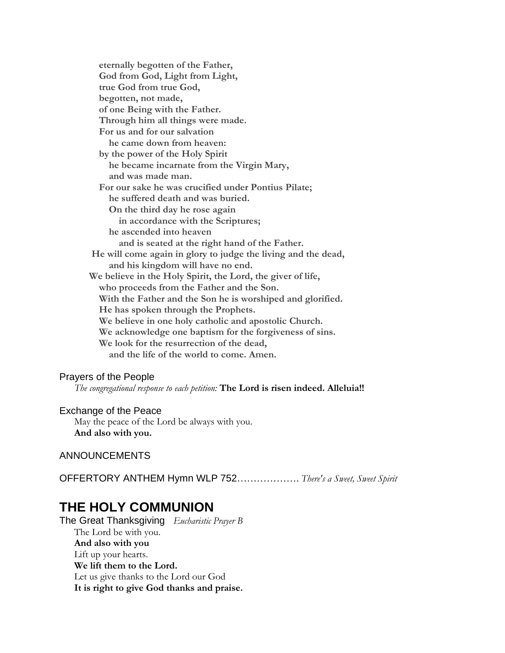**eternally begotten of the Father, God from God, Light from Light, true God from true God, begotten, not made, of one Being with the Father. Through him all things were made. For us and for our salvation he came down from heaven: by the power of the Holy Spirit he became incarnate from the Virgin Mary, and was made man. For our sake he was crucified under Pontius Pilate; he suffered death and was buried. On the third day he rose again in accordance with the Scriptures; he ascended into heaven and is seated at the right hand of the Father. He will come again in glory to judge the living and the dead, and his kingdom will have no end. We believe in the Holy Spirit, the Lord, the giver of life, who proceeds from the Father and the Son. With the Father and the Son he is worshiped and glorified. He has spoken through the Prophets. We believe in one holy catholic and apostolic Church. We acknowledge one baptism for the forgiveness of sins. We look for the resurrection of the dead, and the life of the world to come. Amen.**

### Prayers of the People

*The congregational response to each petition:* **The Lord is risen indeed. Alleluia!!**

#### Exchange of the Peace

May the peace of the Lord be always with you. **And also with you.**

### ANNOUNCEMENTS

OFFERTORY ANTHEM Hymn WLP 752………………. *There's a Sweet, Sweet Spirit*

# **THE HOLY COMMUNION**

The Great Thanksgiving *Eucharistic Prayer B* The Lord be with you. **And also with you** Lift up your hearts. **We lift them to the Lord.** Let us give thanks to the Lord our God **It is right to give God thanks and praise.**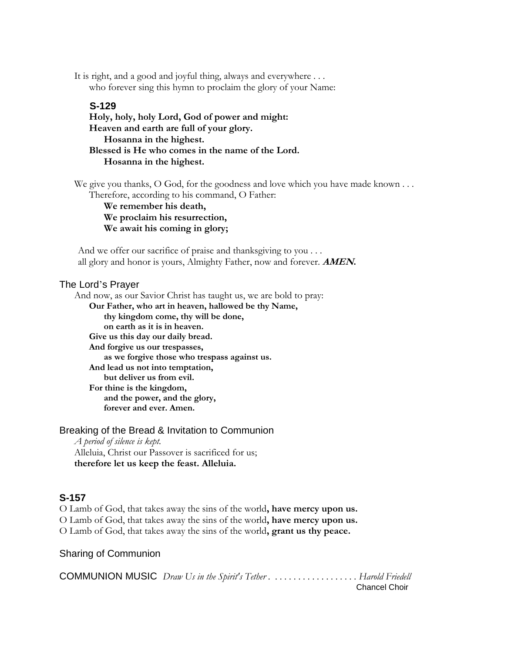It is right, and a good and joyful thing, always and everywhere . . . who forever sing this hymn to proclaim the glory of your Name:

### **S-129**

**Holy, holy, holy Lord, God of power and might: Heaven and earth are full of your glory. Hosanna in the highest. Blessed is He who comes in the name of the Lord. Hosanna in the highest.**

We give you thanks, O God, for the goodness and love which you have made known  $\dots$ Therefore, according to his command, O Father:

**We remember his death, We proclaim his resurrection, We await his coming in glory;**

And we offer our sacrifice of praise and thanksgiving to you ... all glory and honor is yours, Almighty Father, now and forever. **AMEN.**

### The Lord's Prayer

And now, as our Savior Christ has taught us, we are bold to pray: **Our Father, who art in heaven, hallowed be thy Name, thy kingdom come, thy will be done, on earth as it is in heaven. Give us this day our daily bread. And forgive us our trespasses, as we forgive those who trespass against us. And lead us not into temptation, but deliver us from evil. For thine is the kingdom, and the power, and the glory, forever and ever. Amen.**

Breaking of the Bread & Invitation to Communion *A period of silence is kept.* Alleluia, Christ our Passover is sacrificed for us; **therefore let us keep the feast. Alleluia.**

### **S-157**

O Lamb of God, that takes away the sins of the world**, have mercy upon us.** O Lamb of God, that takes away the sins of the world**, have mercy upon us.** O Lamb of God, that takes away the sins of the world**, grant us thy peace.**

Sharing of Communion

COMMUNION MUSIC *Draw Us in the Spirit's Tether . . . . . . . . . . . . . . . . . . . Harold Friedell* Chancel Choir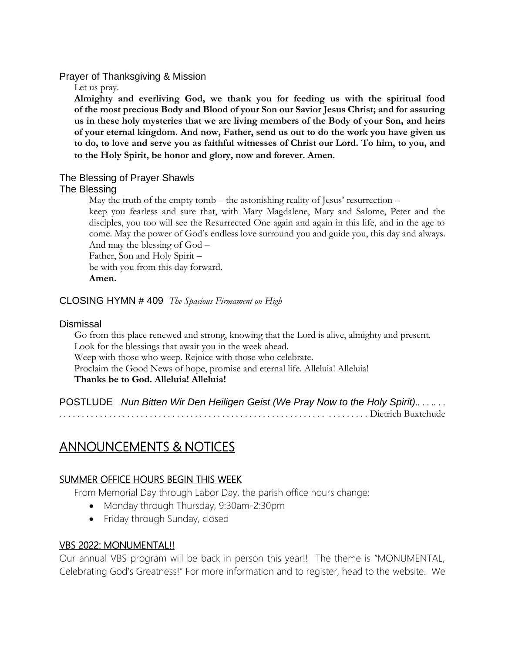### Prayer of Thanksgiving & Mission

Let us pray.

**Almighty and everliving God, we thank you for feeding us with the spiritual food of the most precious Body and Blood of your Son our Savior Jesus Christ; and for assuring us in these holy mysteries that we are living members of the Body of your Son, and heirs of your eternal kingdom. And now, Father, send us out to do the work you have given us to do, to love and serve you as faithful witnesses of Christ our Lord. To him, to you, and to the Holy Spirit, be honor and glory, now and forever. Amen.**

# The Blessing of Prayer Shawls

### The Blessing

May the truth of the empty tomb – the astonishing reality of Jesus' resurrection – keep you fearless and sure that, with Mary Magdalene, Mary and Salome, Peter and the disciples, you too will see the Resurrected One again and again in this life, and in the age to come. May the power of God's endless love surround you and guide you, this day and always. And may the blessing of God –

Father, Son and Holy Spirit – be with you from this day forward. **Amen.**

### CLOSING HYMN # 409*The Spacious Firmament on High*

### Dismissal

Go from this place renewed and strong, knowing that the Lord is alive, almighty and present. Look for the blessings that await you in the week ahead. Weep with those who weep. Rejoice with those who celebrate. Proclaim the Good News of hope, promise and eternal life. Alleluia! Alleluia! **Thanks be to God. Alleluia! Alleluia!**

POSTLUDE*Nun Bitten Wir Den Heiligen Geist (We Pray Now to the Holy Spirit).. . . .. . . . . . . . . . . . . . . . . . . . . . . . . . . . . . . . . . . . . . . . . . . . . . . . . . . . . . . . . . . . . . . . . . . . . . .* Dietrich Buxtehude

# ANNOUNCEMENTS & NOTICES

### SUMMER OFFICE HOURS BEGIN THIS WEEK

From Memorial Day through Labor Day, the parish office hours change:

- Monday through Thursday, 9:30am-2:30pm
- Friday through Sunday, closed

### VBS 2022: MONUMENTAL!!

Our annual VBS program will be back in person this year!! The theme is "MONUMENTAL, Celebrating God's Greatness!" For more information and to register, head to the website. We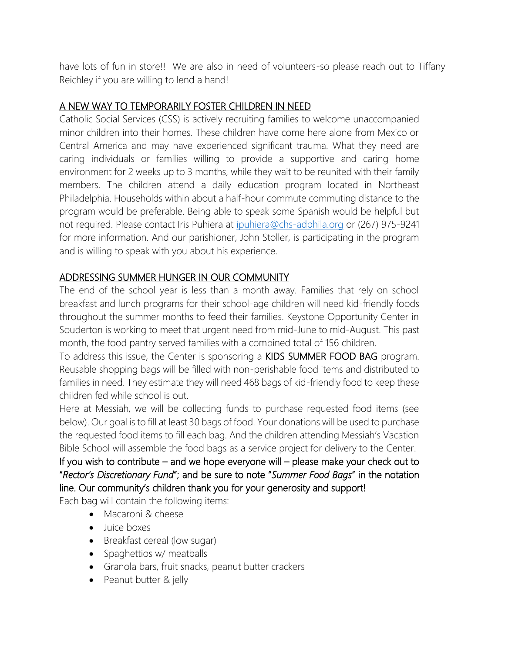have lots of fun in store!! We are also in need of volunteers-so please reach out to Tiffany Reichley if you are willing to lend a hand!

# A NEW WAY TO TEMPORARILY FOSTER CHILDREN IN NEED

Catholic Social Services (CSS) is actively recruiting families to welcome unaccompanied minor children into their homes. These children have come here alone from Mexico or Central America and may have experienced significant trauma. What they need are caring individuals or families willing to provide a supportive and caring home environment for 2 weeks up to 3 months, while they wait to be reunited with their family members. The children attend a daily education program located in Northeast Philadelphia. Households within about a half-hour commute commuting distance to the program would be preferable. Being able to speak some Spanish would be helpful but not required. Please contact Iris Puhiera at [ipuhiera@chs-adphila.org](mailto:ipuhiera@chs-adphila.org) or (267) 975-9241 for more information. And our parishioner, John Stoller, is participating in the program and is willing to speak with you about his experience.

# ADDRESSING SUMMER HUNGER IN OUR COMMUNITY

The end of the school year is less than a month away. Families that rely on school breakfast and lunch programs for their school-age children will need kid-friendly foods throughout the summer months to feed their families. Keystone Opportunity Center in Souderton is working to meet that urgent need from mid-June to mid-August. This past month, the food pantry served families with a combined total of 156 children.

To address this issue, the Center is sponsoring a KIDS SUMMER FOOD BAG program. Reusable shopping bags will be filled with non-perishable food items and distributed to families in need. They estimate they will need 468 bags of kid-friendly food to keep these children fed while school is out.

Here at Messiah, we will be collecting funds to purchase requested food items (see below). Our goal is to fill at least 30 bags of food. Your donations will be used to purchase the requested food items to fill each bag. And the children attending Messiah's Vacation Bible School will assemble the food bags as a service project for delivery to the Center.

If you wish to contribute – and we hope everyone will – please make your check out to "*Rector's Discretionary Fund*"; and be sure to note "*Summer Food Bags*" in the notation line. Our community's children thank you for your generosity and support!

Each bag will contain the following items:

- Macaroni & cheese
- Juice boxes
- Breakfast cereal (low sugar)
- Spaghettios w/ meatballs
- Granola bars, fruit snacks, peanut butter crackers
- Peanut butter & jelly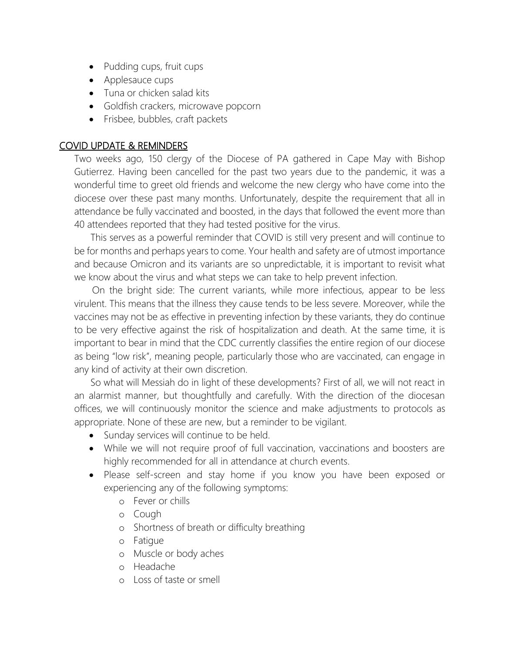- Pudding cups, fruit cups
- Applesauce cups
- Tuna or chicken salad kits
- Goldfish crackers, microwave popcorn
- Frisbee, bubbles, craft packets

### COVID UPDATE & REMINDERS

Two weeks ago, 150 clergy of the Diocese of PA gathered in Cape May with Bishop Gutierrez. Having been cancelled for the past two years due to the pandemic, it was a wonderful time to greet old friends and welcome the new clergy who have come into the diocese over these past many months. Unfortunately, despite the requirement that all in attendance be fully vaccinated and boosted, in the days that followed the event more than 40 attendees reported that they had tested positive for the virus.

 This serves as a powerful reminder that COVID is still very present and will continue to be for months and perhaps years to come. Your health and safety are of utmost importance and because Omicron and its variants are so unpredictable, it is important to revisit what we know about the virus and what steps we can take to help prevent infection.

 On the bright side: The current variants, while more infectious, appear to be less virulent. This means that the illness they cause tends to be less severe. Moreover, while the vaccines may not be as effective in preventing infection by these variants, they do continue to be very effective against the risk of hospitalization and death. At the same time, it is important to bear in mind that the CDC currently classifies the entire region of our diocese as being "low risk", meaning people, particularly those who are vaccinated, can engage in any kind of activity at their own discretion.

 So what will Messiah do in light of these developments? First of all, we will not react in an alarmist manner, but thoughtfully and carefully. With the direction of the diocesan offices, we will continuously monitor the science and make adjustments to protocols as appropriate. None of these are new, but a reminder to be vigilant.

- Sunday services will continue to be held.
- While we will not require proof of full vaccination, vaccinations and boosters are highly recommended for all in attendance at church events.
- Please self-screen and stay home if you know you have been exposed or experiencing any of the following symptoms:
	- o Fever or chills
	- o Cough
	- o Shortness of breath or difficulty breathing
	- o Fatigue
	- o Muscle or body aches
	- o Headache
	- o Loss of taste or smell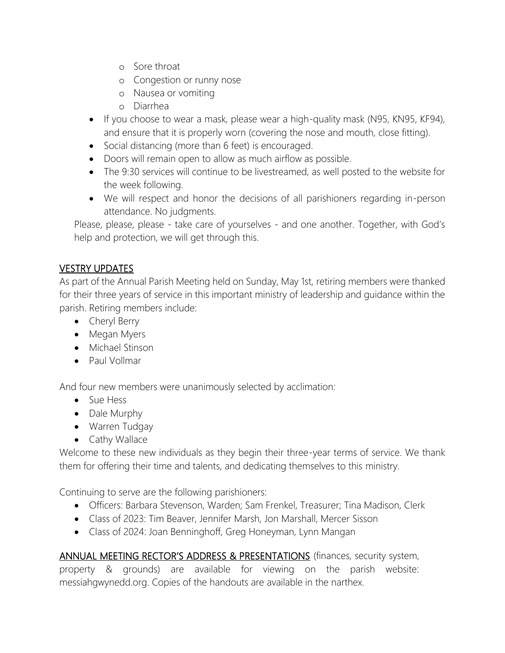- o Sore throat
- o Congestion or runny nose
- o Nausea or vomiting
- o Diarrhea
- If you choose to wear a mask, please wear a high-quality mask (N95, KN95, KF94), and ensure that it is properly worn (covering the nose and mouth, close fitting).
- Social distancing (more than 6 feet) is encouraged.
- Doors will remain open to allow as much airflow as possible.
- The 9:30 services will continue to be livestreamed, as well posted to the website for the week following.
- We will respect and honor the decisions of all parishioners regarding in-person attendance. No judgments.

Please, please, please - take care of yourselves - and one another. Together, with God's help and protection, we will get through this.

# VESTRY UPDATES

As part of the Annual Parish Meeting held on Sunday, May 1st, retiring members were thanked for their three years of service in this important ministry of leadership and guidance within the parish. Retiring members include:

- Cheryl Berry
- Megan Myers
- Michael Stinson
- Paul Vollmar

And four new members were unanimously selected by acclimation:

- Sue Hess
- Dale Murphy
- Warren Tudgay
- Cathy Wallace

Welcome to these new individuals as they begin their three-year terms of service. We thank them for offering their time and talents, and dedicating themselves to this ministry.

Continuing to serve are the following parishioners:

- Officers: Barbara Stevenson, Warden; Sam Frenkel, Treasurer; Tina Madison, Clerk
- Class of 2023: Tim Beaver, Jennifer Marsh, Jon Marshall, Mercer Sisson
- Class of 2024: Joan Benninghoff, Greg Honeyman, Lynn Mangan

ANNUAL MEETING RECTOR'S ADDRESS & PRESENTATIONS (finances, security system, property & grounds) are available for viewing on the parish website: messiahgwynedd.org. Copies of the handouts are available in the narthex.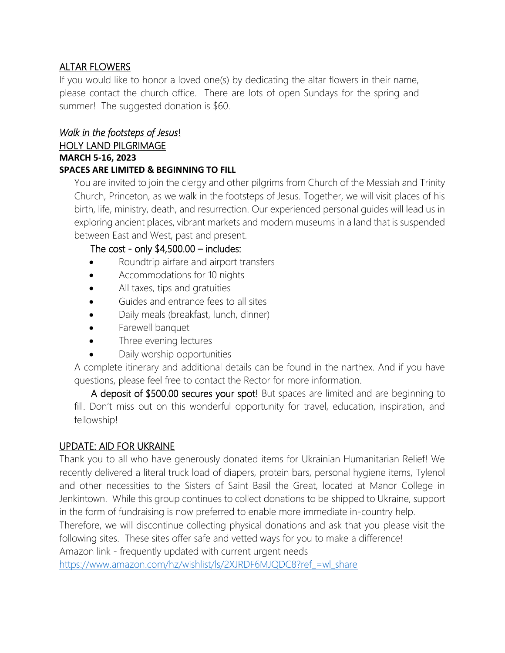### ALTAR FLOWERS

If you would like to honor a loved one(s) by dedicating the altar flowers in their name, please contact the church office. There are lots of open Sundays for the spring and summer! The suggested donation is \$60.

# *Walk in the footsteps of Jesus*!

### HOLY LAND PILGRIMAGE **MARCH 5-16, 2023 SPACES ARE LIMITED & BEGINNING TO FILL**

You are invited to join the clergy and other pilgrims from Church of the Messiah and Trinity Church, Princeton, as we walk in the footsteps of Jesus. Together, we will visit places of his birth, life, ministry, death, and resurrection. Our experienced personal guides will lead us in exploring ancient places, vibrant markets and modern museums in a land that is suspended between East and West, past and present.

### The cost - only  $$4,500.00$  – includes:

- Roundtrip airfare and airport transfers
- Accommodations for 10 nights
- All taxes, tips and gratuities
- Guides and entrance fees to all sites
- Daily meals (breakfast, lunch, dinner)
- Farewell banquet
- Three evening lectures
- Daily worship opportunities

A complete itinerary and additional details can be found in the narthex. And if you have questions, please feel free to contact the Rector for more information.

A deposit of \$500.00 secures your spot! But spaces are limited and are beginning to fill. Don't miss out on this wonderful opportunity for travel, education, inspiration, and fellowship!

### UPDATE: AID FOR UKRAINE

Thank you to all who have generously donated items for Ukrainian Humanitarian Relief! We recently delivered a literal truck load of diapers, protein bars, personal hygiene items, Tylenol and other necessities to the Sisters of Saint Basil the Great, located at Manor College in Jenkintown. While this group continues to collect donations to be shipped to Ukraine, support in the form of fundraising is now preferred to enable more immediate in-country help.

Therefore, we will discontinue collecting physical donations and ask that you please visit the following sites. These sites offer safe and vetted ways for you to make a difference!

Amazon link - frequently updated with current urgent needs

[https://www.amazon.com/hz/wishlist/ls/2XJRDF6MJQDC8?ref\\_=wl\\_share](https://www.amazon.com/hz/wishlist/ls/2XJRDF6MJQDC8?ref_=wl_share)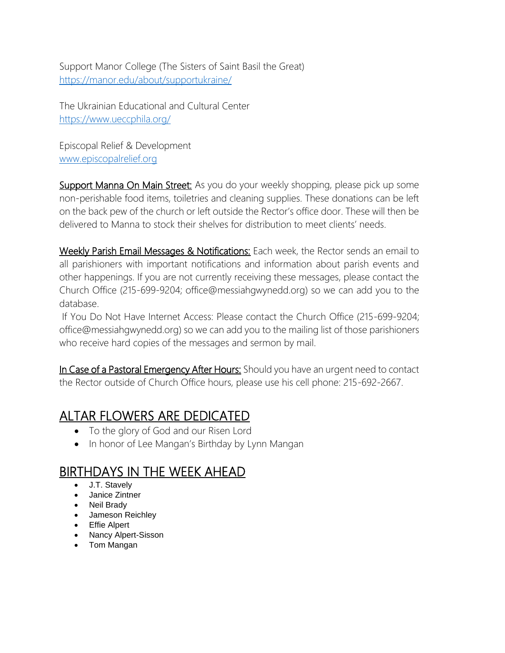Support Manor College (The Sisters of Saint Basil the Great) <https://manor.edu/about/supportukraine/>

The Ukrainian Educational and Cultural Center <https://www.ueccphila.org/>

Episcopal Relief & Development [www.episcopalrelief.org](https://www.episcopalrelief.org/press-resources/press-releases/2022-press-releases/supporting-humanitarian-response-to-the-crisis-in-ukraine/)

Support Manna On Main Street: As you do your weekly shopping, please pick up some non-perishable food items, toiletries and cleaning supplies. These donations can be left on the back pew of the church or left outside the Rector's office door. These will then be delivered to Manna to stock their shelves for distribution to meet clients' needs.

Weekly Parish Email Messages & Notifications: Each week, the Rector sends an email to all parishioners with important notifications and information about parish events and other happenings. If you are not currently receiving these messages, please contact the Church Office (215-699-9204; [office@messiahgwynedd.org\)](mailto:office@messiahgwynedd.org) so we can add you to the database.

If You Do Not Have Internet Access: Please contact the Church Office (215-699-9204; [office@messiahgwynedd.org\)](mailto:office@messiahgwynedd.org) so we can add you to the mailing list of those parishioners who receive hard copies of the messages and sermon by mail.

In Case of a Pastoral Emergency After Hours: Should you have an urgent need to contact the Rector outside of Church Office hours, please use his cell phone: 215-692-2667.

# ALTAR FLOWERS ARE DEDICATED

- To the glory of God and our Risen Lord
- In honor of Lee Mangan's Birthday by Lynn Mangan

# BIRTHDAYS IN THE WEEK AHEAD

- J.T. Stavely
- Janice Zintner
- Neil Brady
- Jameson Reichley
- Effie Alpert
- Nancy Alpert-Sisson
- Tom Mangan